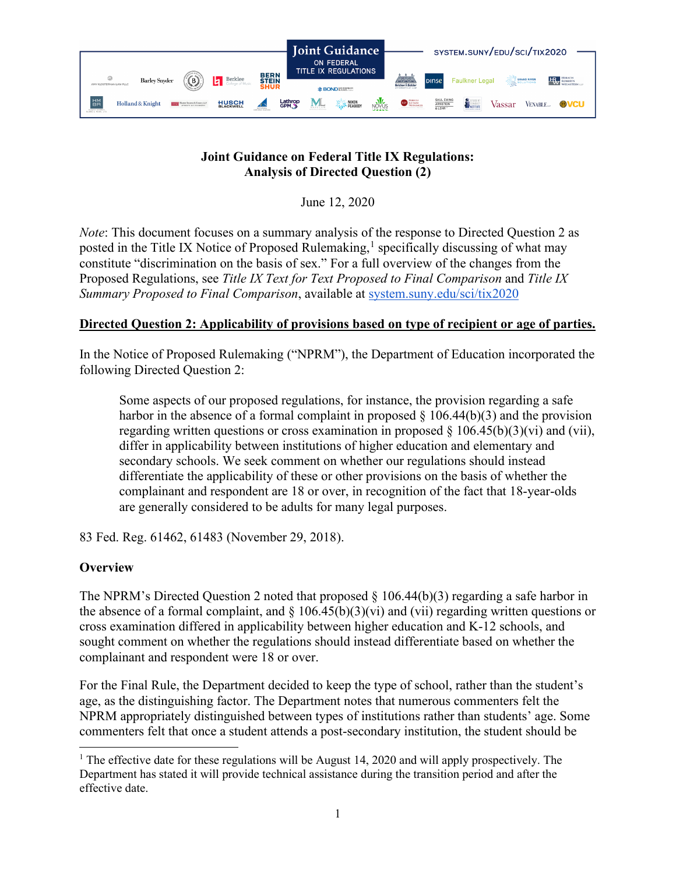

# **Joint Guidance on Federal Title IX Regulations: Analysis of Directed Question (2)**

June 12, 2020

*Note*: This document focuses on a summary analysis of the response to Directed Question 2 as posted in the Title IX Notice of Proposed Rulemaking,<sup>[1](#page-0-0)</sup> specifically discussing of what may constitute "discrimination on the basis of sex." For a full overview of the changes from the Proposed Regulations, see *Title IX Text for Text Proposed to Final Comparison* and *Title IX Summary Proposed to Final Comparison*, available at [system.suny.edu/sci/tix2020](https://system.suny.edu/sci/tix2020/)

# **Directed Question 2: Applicability of provisions based on type of recipient or age of parties.**

In the Notice of Proposed Rulemaking ("NPRM"), the Department of Education incorporated the following Directed Question 2:

Some aspects of our proposed regulations, for instance, the provision regarding a safe harbor in the absence of a formal complaint in proposed  $\S$  106.44(b)(3) and the provision regarding written questions or cross examination in proposed  $\S 106.45(b)(3)(vi)$  and (vii), differ in applicability between institutions of higher education and elementary and secondary schools. We seek comment on whether our regulations should instead differentiate the applicability of these or other provisions on the basis of whether the complainant and respondent are 18 or over, in recognition of the fact that 18-year-olds are generally considered to be adults for many legal purposes.

83 Fed. Reg. 61462, 61483 (November 29, 2018).

## **Overview**

The NPRM's Directed Question 2 noted that proposed  $\S$  106.44(b)(3) regarding a safe harbor in the absence of a formal complaint, and  $\S 106.45(b)(3)(vi)$  and (vii) regarding written questions or cross examination differed in applicability between higher education and K-12 schools, and sought comment on whether the regulations should instead differentiate based on whether the complainant and respondent were 18 or over.

For the Final Rule, the Department decided to keep the type of school, rather than the student's age, as the distinguishing factor. The Department notes that numerous commenters felt the NPRM appropriately distinguished between types of institutions rather than students' age. Some commenters felt that once a student attends a post-secondary institution, the student should be

<span id="page-0-0"></span><sup>&</sup>lt;sup>1</sup> The effective date for these regulations will be August 14, 2020 and will apply prospectively. The Department has stated it will provide technical assistance during the transition period and after the effective date.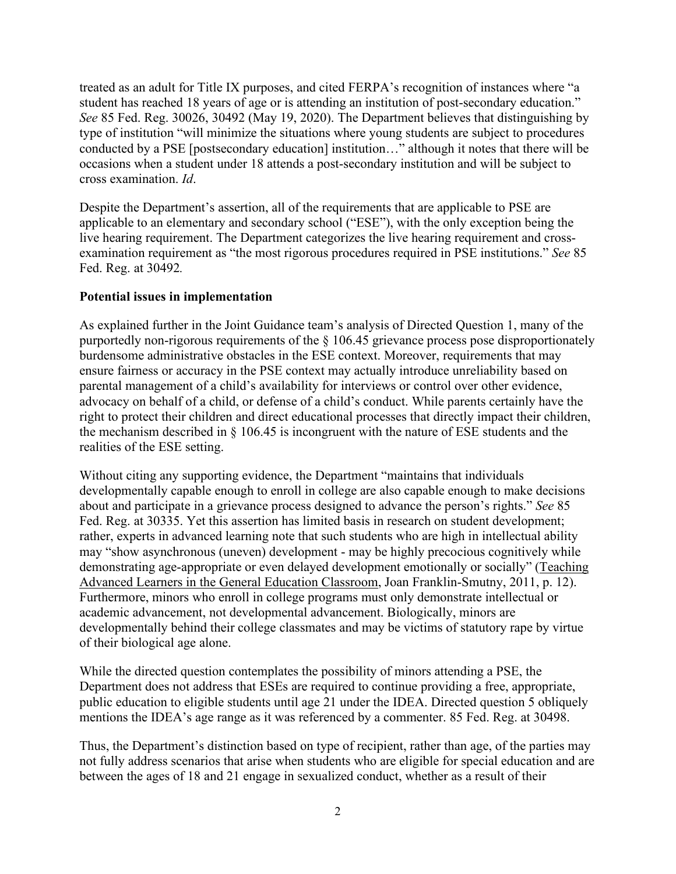treated as an adult for Title IX purposes, and cited FERPA's recognition of instances where "a student has reached 18 years of age or is attending an institution of post-secondary education." *See* 85 Fed. Reg. 30026, 30492 (May 19, 2020). The Department believes that distinguishing by type of institution "will minimize the situations where young students are subject to procedures conducted by a PSE [postsecondary education] institution…" although it notes that there will be occasions when a student under 18 attends a post-secondary institution and will be subject to cross examination. *Id*.

Despite the Department's assertion, all of the requirements that are applicable to PSE are applicable to an elementary and secondary school ("ESE"), with the only exception being the live hearing requirement. The Department categorizes the live hearing requirement and crossexamination requirement as "the most rigorous procedures required in PSE institutions." *See* 85 Fed. Reg. at 30492*.*

### **Potential issues in implementation**

As explained further in the Joint Guidance team's analysis of Directed Question 1, many of the purportedly non-rigorous requirements of the § 106.45 grievance process pose disproportionately burdensome administrative obstacles in the ESE context. Moreover, requirements that may ensure fairness or accuracy in the PSE context may actually introduce unreliability based on parental management of a child's availability for interviews or control over other evidence, advocacy on behalf of a child, or defense of a child's conduct. While parents certainly have the right to protect their children and direct educational processes that directly impact their children, the mechanism described in § 106.45 is incongruent with the nature of ESE students and the realities of the ESE setting.

Without citing any supporting evidence, the Department "maintains that individuals developmentally capable enough to enroll in college are also capable enough to make decisions about and participate in a grievance process designed to advance the person's rights." *See* 85 Fed. Reg. at 30335. Yet this assertion has limited basis in research on student development; rather, experts in advanced learning note that such students who are high in intellectual ability may "show asynchronous (uneven) development - may be highly precocious cognitively while demonstrating age-appropriate or even delayed development emotionally or socially" (Teaching Advanced Learners in the General Education Classroom, Joan Franklin-Smutny, 2011, p. 12). Furthermore, minors who enroll in college programs must only demonstrate intellectual or academic advancement, not developmental advancement. Biologically, minors are developmentally behind their college classmates and may be victims of statutory rape by virtue of their biological age alone.

While the directed question contemplates the possibility of minors attending a PSE, the Department does not address that ESEs are required to continue providing a free, appropriate, public education to eligible students until age 21 under the IDEA. Directed question 5 obliquely mentions the IDEA's age range as it was referenced by a commenter. 85 Fed. Reg. at 30498.

Thus, the Department's distinction based on type of recipient, rather than age, of the parties may not fully address scenarios that arise when students who are eligible for special education and are between the ages of 18 and 21 engage in sexualized conduct, whether as a result of their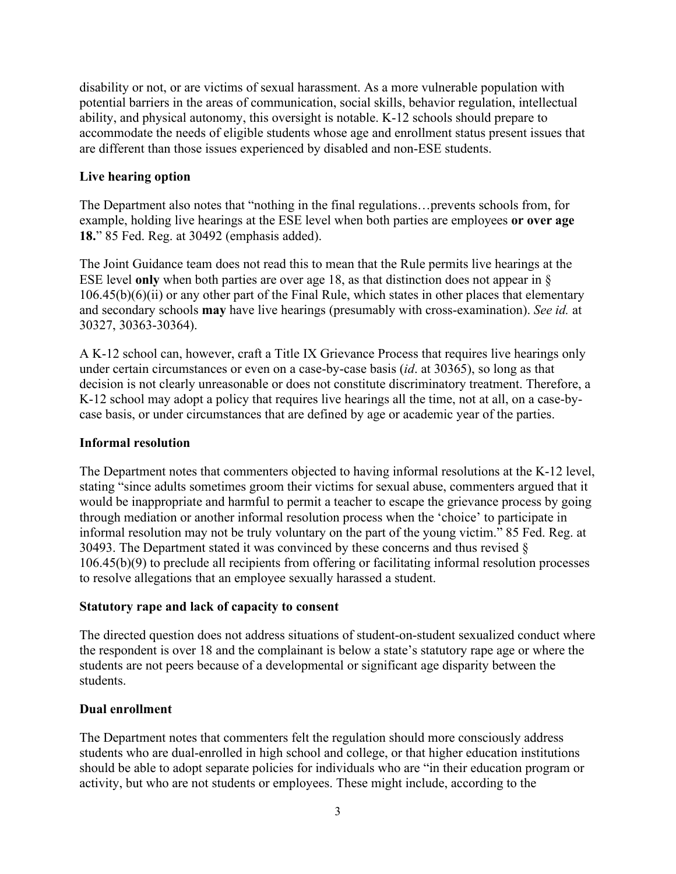disability or not, or are victims of sexual harassment. As a more vulnerable population with potential barriers in the areas of communication, social skills, behavior regulation, intellectual ability, and physical autonomy, this oversight is notable. K-12 schools should prepare to accommodate the needs of eligible students whose age and enrollment status present issues that are different than those issues experienced by disabled and non-ESE students.

## **Live hearing option**

The Department also notes that "nothing in the final regulations…prevents schools from, for example, holding live hearings at the ESE level when both parties are employees **or over age 18.**" 85 Fed. Reg. at 30492 (emphasis added).

The Joint Guidance team does not read this to mean that the Rule permits live hearings at the ESE level **only** when both parties are over age 18, as that distinction does not appear in §  $106.45(b)(6)(ii)$  or any other part of the Final Rule, which states in other places that elementary and secondary schools **may** have live hearings (presumably with cross-examination). *See id.* at 30327, 30363-30364).

A K-12 school can, however, craft a Title IX Grievance Process that requires live hearings only under certain circumstances or even on a case-by-case basis (*id*. at 30365), so long as that decision is not clearly unreasonable or does not constitute discriminatory treatment. Therefore, a K-12 school may adopt a policy that requires live hearings all the time, not at all, on a case-bycase basis, or under circumstances that are defined by age or academic year of the parties.

### **Informal resolution**

The Department notes that commenters objected to having informal resolutions at the K-12 level, stating "since adults sometimes groom their victims for sexual abuse, commenters argued that it would be inappropriate and harmful to permit a teacher to escape the grievance process by going through mediation or another informal resolution process when the 'choice' to participate in informal resolution may not be truly voluntary on the part of the young victim." 85 Fed. Reg. at 30493. The Department stated it was convinced by these concerns and thus revised § 106.45(b)(9) to preclude all recipients from offering or facilitating informal resolution processes to resolve allegations that an employee sexually harassed a student.

### **Statutory rape and lack of capacity to consent**

The directed question does not address situations of student-on-student sexualized conduct where the respondent is over 18 and the complainant is below a state's statutory rape age or where the students are not peers because of a developmental or significant age disparity between the students.

### **Dual enrollment**

The Department notes that commenters felt the regulation should more consciously address students who are dual-enrolled in high school and college, or that higher education institutions should be able to adopt separate policies for individuals who are "in their education program or activity, but who are not students or employees. These might include, according to the